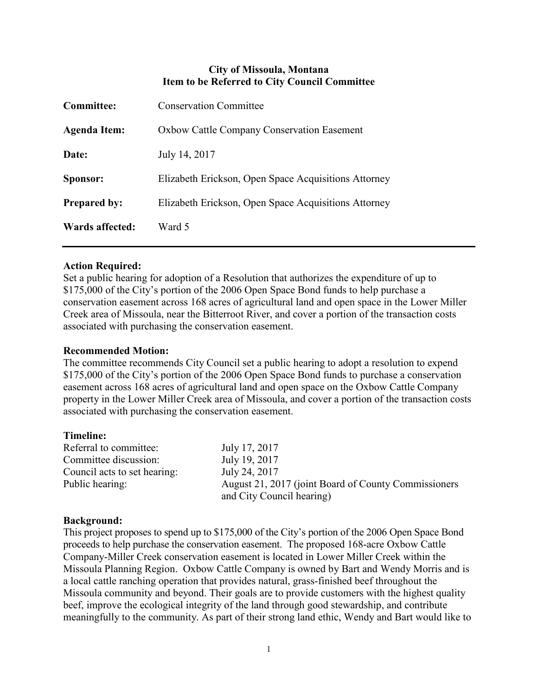# **City of Missoula, Montana Item to be Referred to City Council Committee**

| <b>Committee:</b>   | <b>Conservation Committee</b>                        |
|---------------------|------------------------------------------------------|
| <b>Agenda Item:</b> | <b>Oxbow Cattle Company Conservation Easement</b>    |
| Date:               | July 14, 2017                                        |
| Sponsor:            | Elizabeth Erickson, Open Space Acquisitions Attorney |
| <b>Prepared by:</b> | Elizabeth Erickson, Open Space Acquisitions Attorney |
| Wards affected:     | Ward 5                                               |

## **Action Required:**

Set a public hearing for adoption of a Resolution that authorizes the expenditure of up to \$175,000 of the City's portion of the 2006 Open Space Bond funds to help purchase a conservation easement across 168 acres of agricultural land and open space in the Lower Miller Creek area of Missoula, near the Bitterroot River, and cover a portion of the transaction costs associated with purchasing the conservation easement.

## **Recommended Motion:**

The committee recommends City Council set a public hearing to adopt a resolution to expend \$175,000 of the City's portion of the 2006 Open Space Bond funds to purchase a conservation easement across 168 acres of agricultural land and open space on the Oxbow Cattle Company property in the Lower Miller Creek area of Missoula, and cover a portion of the transaction costs associated with purchasing the conservation easement.

#### **Timeline:**

Referral to committee: July 17, 2017 Committee discussion: July 19, 2017 Council acts to set hearing: July 24, 2017

Public hearing: August 21, 2017 (joint Board of County Commissioners and City Council hearing)

## **Background:**

This project proposes to spend up to \$175,000 of the City's portion of the 2006 Open Space Bond proceeds to help purchase the conservation easement. The proposed 168-acre Oxbow Cattle Company-Miller Creek conservation easement is located in Lower Miller Creek within the Missoula Planning Region. Oxbow Cattle Company is owned by Bart and Wendy Morris and is a local cattle ranching operation that provides natural, grass-finished beef throughout the Missoula community and beyond. Their goals are to provide customers with the highest quality beef, improve the ecological integrity of the land through good stewardship, and contribute meaningfully to the community. As part of their strong land ethic, Wendy and Bart would like to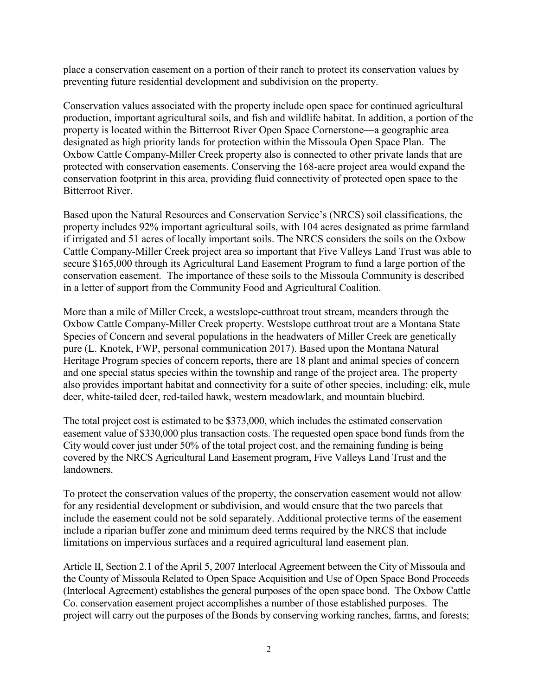place a conservation easement on a portion of their ranch to protect its conservation values by preventing future residential development and subdivision on the property.

Conservation values associated with the property include open space for continued agricultural production, important agricultural soils, and fish and wildlife habitat. In addition, a portion of the property is located within the Bitterroot River Open Space Cornerstone—a geographic area designated as high priority lands for protection within the Missoula Open Space Plan. The Oxbow Cattle Company-Miller Creek property also is connected to other private lands that are protected with conservation easements. Conserving the 168-acre project area would expand the conservation footprint in this area, providing fluid connectivity of protected open space to the Bitterroot River.

Based upon the Natural Resources and Conservation Service's (NRCS) soil classifications, the property includes 92% important agricultural soils, with 104 acres designated as prime farmland if irrigated and 51 acres of locally important soils. The NRCS considers the soils on the Oxbow Cattle Company-Miller Creek project area so important that Five Valleys Land Trust was able to secure \$165,000 through its Agricultural Land Easement Program to fund a large portion of the conservation easement. The importance of these soils to the Missoula Community is described in a letter of support from the Community Food and Agricultural Coalition.

More than a mile of Miller Creek, a westslope-cutthroat trout stream, meanders through the Oxbow Cattle Company-Miller Creek property. Westslope cutthroat trout are a Montana State Species of Concern and several populations in the headwaters of Miller Creek are genetically pure (L. Knotek, FWP, personal communication 2017). Based upon the Montana Natural Heritage Program species of concern reports, there are 18 plant and animal species of concern and one special status species within the township and range of the project area. The property also provides important habitat and connectivity for a suite of other species, including: elk, mule deer, white-tailed deer, red-tailed hawk, western meadowlark, and mountain bluebird.

The total project cost is estimated to be \$373,000, which includes the estimated conservation easement value of \$330,000 plus transaction costs. The requested open space bond funds from the City would cover just under 50% of the total project cost, and the remaining funding is being covered by the NRCS Agricultural Land Easement program, Five Valleys Land Trust and the landowners.

To protect the conservation values of the property, the conservation easement would not allow for any residential development or subdivision, and would ensure that the two parcels that include the easement could not be sold separately. Additional protective terms of the easement include a riparian buffer zone and minimum deed terms required by the NRCS that include limitations on impervious surfaces and a required agricultural land easement plan.

Article II, Section 2.1 of the April 5, 2007 Interlocal Agreement between the City of Missoula and the County of Missoula Related to Open Space Acquisition and Use of Open Space Bond Proceeds (Interlocal Agreement) establishes the general purposes of the open space bond. The Oxbow Cattle Co. conservation easement project accomplishes a number of those established purposes. The project will carry out the purposes of the Bonds by conserving working ranches, farms, and forests;